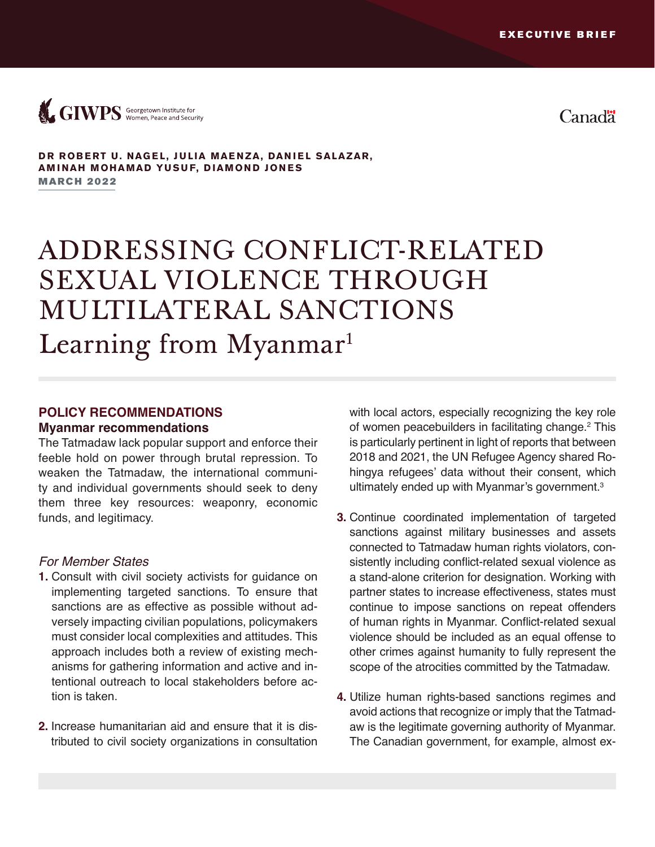

Canad<sup>"</sup>

#### **DR ROBERT U. NAGEL, JULIA MAENZA, DANIEL SALAZAR, AMINAH MOHAMAD YUSUF, DIAMOND JONES**

**MARCH 2022** 

# ADDRESSING CONFLICT-RELATED SEXUAL VIOLENCE THROUGH MULTILATERAL SANCTIONS Learning from Myanmar<sup>1</sup>

## **POLICY RECOMMENDATIONS Myanmar recommendations**

The Tatmadaw lack popular support and enforce their feeble hold on power through brutal repression. To weaken the Tatmadaw, the international community and individual governments should seek to deny them three key resources: weaponry, economic funds, and legitimacy.

#### *For Member States*

- **1.** Consult with civil society activists for guidance on implementing targeted sanctions. To ensure that sanctions are as effective as possible without adversely impacting civilian populations, policymakers must consider local complexities and attitudes. This approach includes both a review of existing mechanisms for gathering information and active and intentional outreach to local stakeholders before action is taken.
- **2.** Increase humanitarian aid and ensure that it is distributed to civil society organizations in consultation

with local actors, especially recognizing the key role of women peacebuilders in facilitating change.<sup>2</sup> This is particularly pertinent in light of reports that between 2018 and 2021, the UN Refugee Agency shared Rohingya refugees' data without their consent, which ultimately ended up with Myanmar's government.<sup>3</sup>

- **3.** Continue coordinated implementation of targeted sanctions against military businesses and assets connected to Tatmadaw human rights violators, consistently including conflict-related sexual violence as a stand-alone criterion for designation. Working with partner states to increase effectiveness, states must continue to impose sanctions on repeat offenders of human rights in Myanmar. Conflict-related sexual violence should be included as an equal offense to other crimes against humanity to fully represent the scope of the atrocities committed by the Tatmadaw.
- **4.** Utilize human rights-based sanctions regimes and avoid actions that recognize or imply that the Tatmadaw is the legitimate governing authority of Myanmar. The Canadian government, for example, almost ex-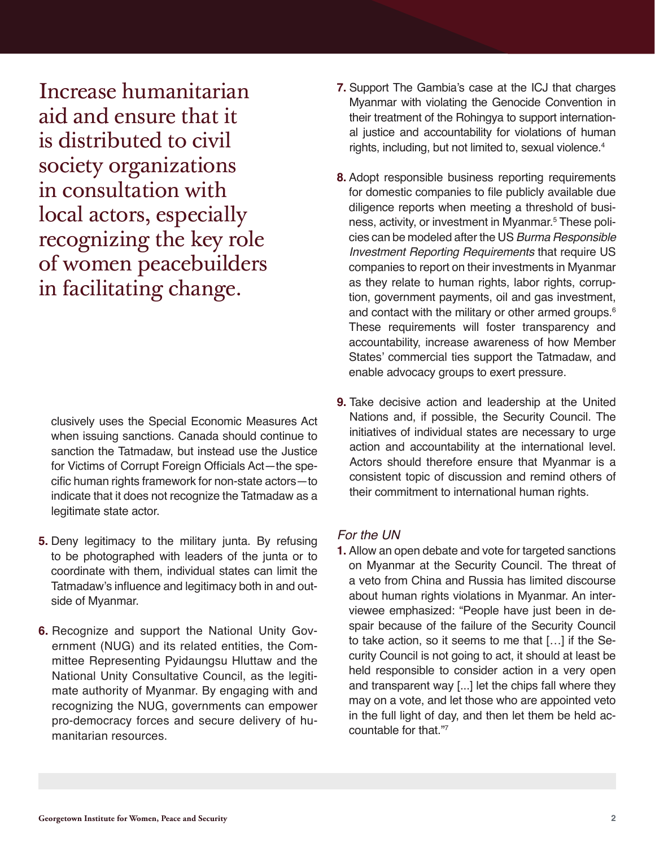Increase humanitarian aid and ensure that it is distributed to civil society organizations in consultation with local actors, especially recognizing the key role of women peacebuilders in facilitating change.

clusively uses the Special Economic Measures Act when issuing sanctions. Canada should continue to sanction the Tatmadaw, but instead use the Justice for Victims of Corrupt Foreign Officials Act—the specific human rights framework for non-state actors—to indicate that it does not recognize the Tatmadaw as a legitimate state actor.

- **5.** Deny legitimacy to the military junta. By refusing to be photographed with leaders of the junta or to coordinate with them, individual states can limit the Tatmadaw's influence and legitimacy both in and outside of Myanmar.
- **6.** Recognize and support the National Unity Government (NUG) and its related entities, the Committee Representing Pyidaungsu Hluttaw and the National Unity Consultative Council, as the legitimate authority of Myanmar. By engaging with and recognizing the NUG, governments can empower pro-democracy forces and secure delivery of humanitarian resources.
- **7.** Support The Gambia's case at the ICJ that charges Myanmar with violating the Genocide Convention in their treatment of the Rohingya to support international justice and accountability for violations of human rights, including, but not limited to, sexual violence.<sup>4</sup>
- **8.** Adopt responsible business reporting requirements for domestic companies to file publicly available due diligence reports when meeting a threshold of business, activity, or investment in Myanmar.5 These policies can be modeled after the US *Burma Responsible Investment Reporting Requirements* that require US companies to report on their investments in Myanmar as they relate to human rights, labor rights, corruption, government payments, oil and gas investment, and contact with the military or other armed groups.<sup>6</sup> These requirements will foster transparency and accountability, increase awareness of how Member States' commercial ties support the Tatmadaw, and enable advocacy groups to exert pressure.
- **9.** Take decisive action and leadership at the United Nations and, if possible, the Security Council. The initiatives of individual states are necessary to urge action and accountability at the international level. Actors should therefore ensure that Myanmar is a consistent topic of discussion and remind others of their commitment to international human rights.

#### *For the UN*

**1.** Allow an open debate and vote for targeted sanctions on Myanmar at the Security Council. The threat of a veto from China and Russia has limited discourse about human rights violations in Myanmar. An interviewee emphasized: "People have just been in despair because of the failure of the Security Council to take action, so it seems to me that […] if the Security Council is not going to act, it should at least be held responsible to consider action in a very open and transparent way [...] let the chips fall where they may on a vote, and let those who are appointed veto in the full light of day, and then let them be held accountable for that."7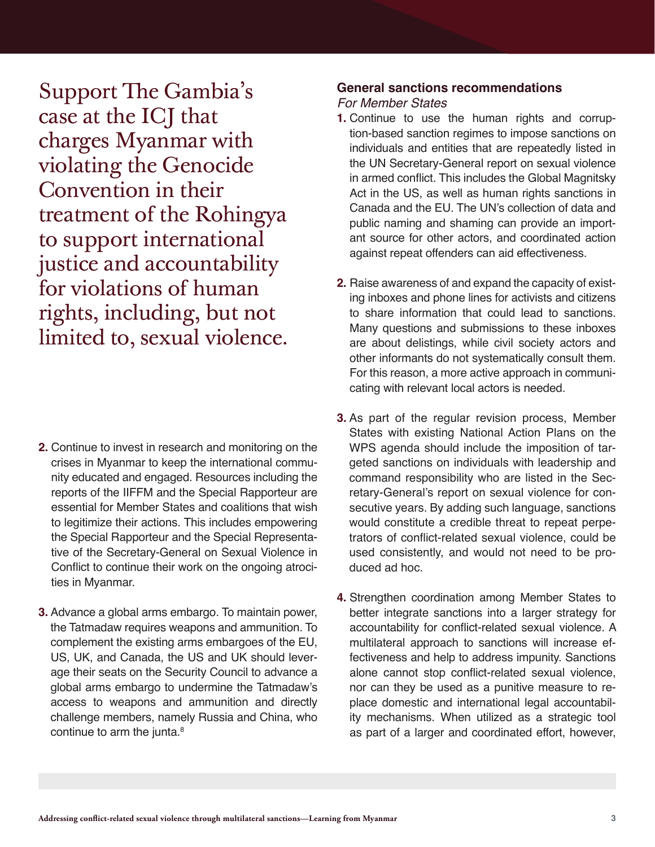Support The Gambia's case at the ICJ that charges Myanmar with violating the Genocide Convention in their treatment of the Rohingya to support international justice and accountability for violations of human rights, including, but not limited to, sexual violence.

- **2.** Continue to invest in research and monitoring on the crises in Myanmar to keep the international community educated and engaged. Resources including the reports of the IIFFM and the Special Rapporteur are essential for Member States and coalitions that wish to legitimize their actions. This includes empowering the Special Rapporteur and the Special Representative of the Secretary-General on Sexual Violence in Conflict to continue their work on the ongoing atrocities in Myanmar.
- **3.** Advance a global arms embargo. To maintain power, the Tatmadaw requires weapons and ammunition. To complement the existing arms embargoes of the EU, US, UK, and Canada, the US and UK should leverage their seats on the Security Council to advance a global arms embargo to undermine the Tatmadaw's access to weapons and ammunition and directly challenge members, namely Russia and China, who continue to arm the junta.<sup>8</sup>

### **General sanctions recommendations**

#### *For Member States*

- **1.** Continue to use the human rights and corruption-based sanction regimes to impose sanctions on individuals and entities that are repeatedly listed in the UN Secretary-General report on sexual violence in armed conflict. This includes the Global Magnitsky Act in the US, as well as human rights sanctions in Canada and the EU. The UN's collection of data and public naming and shaming can provide an important source for other actors, and coordinated action against repeat offenders can aid effectiveness.
- **2.** Raise awareness of and expand the capacity of existing inboxes and phone lines for activists and citizens to share information that could lead to sanctions. Many questions and submissions to these inboxes are about delistings, while civil society actors and other informants do not systematically consult them. For this reason, a more active approach in communicating with relevant local actors is needed.
- **3.** As part of the regular revision process, Member States with existing National Action Plans on the WPS agenda should include the imposition of targeted sanctions on individuals with leadership and command responsibility who are listed in the Secretary-General's report on sexual violence for consecutive years. By adding such language, sanctions would constitute a credible threat to repeat perpetrators of conflict-related sexual violence, could be used consistently, and would not need to be produced ad hoc.
- **4.** Strengthen coordination among Member States to better integrate sanctions into a larger strategy for accountability for conflict-related sexual violence. A multilateral approach to sanctions will increase effectiveness and help to address impunity. Sanctions alone cannot stop conflict-related sexual violence, nor can they be used as a punitive measure to replace domestic and international legal accountability mechanisms. When utilized as a strategic tool as part of a larger and coordinated effort, however,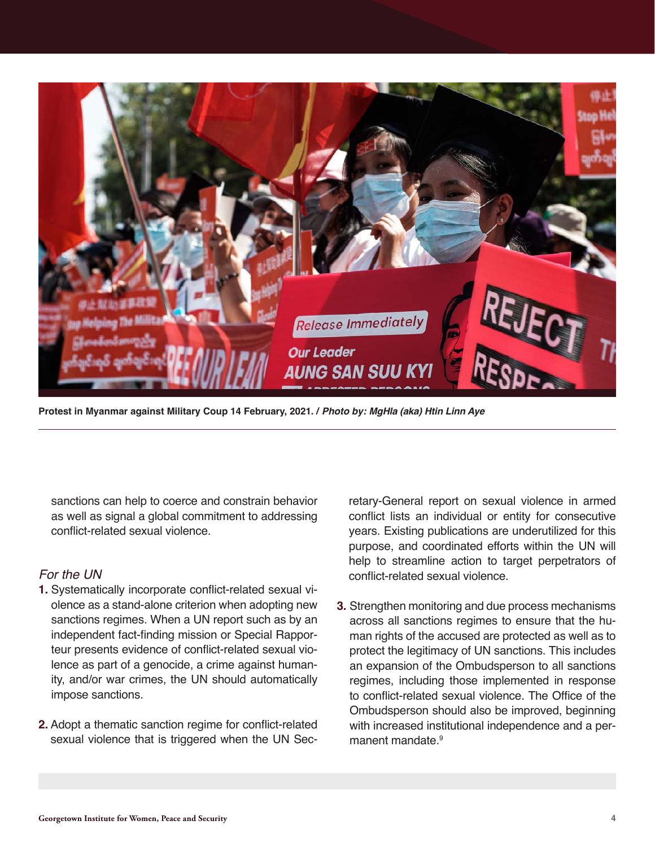

**Protest in Myanmar against Military Coup 14 February, 2021. / Photo by: MgHla (aka) Htin Linn Aye**

sanctions can help to coerce and constrain behavior as well as signal a global commitment to addressing conflict-related sexual violence.

#### *For the UN*

- **1.** Systematically incorporate conflict-related sexual violence as a stand-alone criterion when adopting new sanctions regimes. When a UN report such as by an independent fact-finding mission or Special Rapporteur presents evidence of conflict-related sexual violence as part of a genocide, a crime against humanity, and/or war crimes, the UN should automatically impose sanctions.
- **2.** Adopt a thematic sanction regime for conflict-related sexual violence that is triggered when the UN Sec-

retary-General report on sexual violence in armed conflict lists an individual or entity for consecutive years. Existing publications are underutilized for this purpose, and coordinated efforts within the UN will help to streamline action to target perpetrators of conflict-related sexual violence.

**3.** Strengthen monitoring and due process mechanisms across all sanctions regimes to ensure that the human rights of the accused are protected as well as to protect the legitimacy of UN sanctions. This includes an expansion of the Ombudsperson to all sanctions regimes, including those implemented in response to conflict-related sexual violence. The Office of the Ombudsperson should also be improved, beginning with increased institutional independence and a permanent mandate.<sup>9</sup>